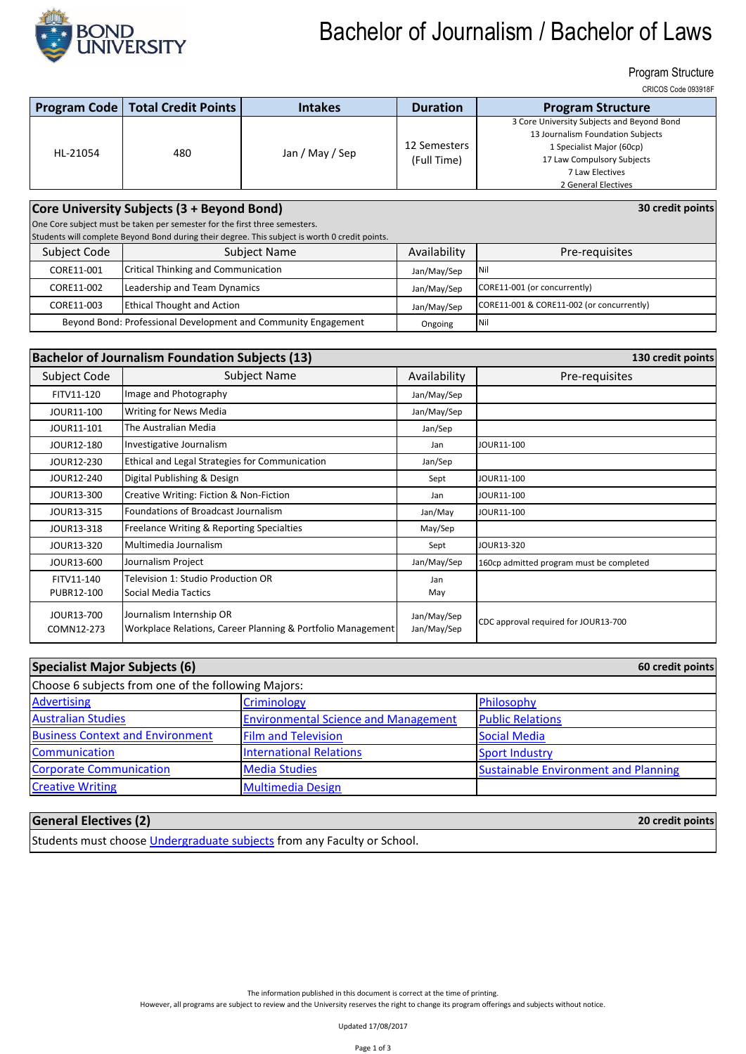

# Bachelor of Journalism / Bachelor of Laws

#### Program Structure

CRICOS Code 093918F

**30 credit points**

**20 credit points**

|          | <b>Program Code   Total Credit Points  </b> | <b>Intakes</b>  | <b>Duration</b> | <b>Program Structure</b>                   |
|----------|---------------------------------------------|-----------------|-----------------|--------------------------------------------|
| HL-21054 | 480                                         | Jan / May / Sep |                 | 3 Core University Subjects and Beyond Bond |
|          |                                             |                 |                 | 13 Journalism Foundation Subjects          |
|          |                                             |                 | 12 Semesters    | 1 Specialist Major (60cp)                  |
|          |                                             |                 | (Full Time)     | 17 Law Compulsory Subjects                 |
|          |                                             |                 |                 | 7 Law Electives                            |
|          |                                             |                 |                 | 2 General Electives                        |

### **Core University Subjects (3 + Beyond Bond)**

One Core subject must be taken per semester for the first three semesters.

Students will complete Beyond Bond during their degree. This subject is worth 0 credit points.

| Subject Code                                                   | pragence min complete peronal point against their acsi centrus sappert is more to order pointer.<br>Subject Name | Availability | Pre-requisites                            |
|----------------------------------------------------------------|------------------------------------------------------------------------------------------------------------------|--------------|-------------------------------------------|
|                                                                |                                                                                                                  |              |                                           |
| CORE11-001                                                     | Critical Thinking and Communication                                                                              | Jan/May/Sep  | <b>INil</b>                               |
| CORE11-002                                                     | Leadership and Team Dynamics                                                                                     | Jan/May/Sep  | CORE11-001 (or concurrently)              |
| CORE11-003                                                     | <b>Ethical Thought and Action</b>                                                                                | Jan/May/Sep  | CORE11-001 & CORE11-002 (or concurrently) |
| Beyond Bond: Professional Development and Community Engagement |                                                                                                                  | Ongoing      | Nil                                       |

| <b>Bachelor of Journalism Foundation Subjects (13)</b> |                                                                                         |                            | 130 credit points                        |
|--------------------------------------------------------|-----------------------------------------------------------------------------------------|----------------------------|------------------------------------------|
| Subject Code                                           | Subject Name                                                                            | Availability               | Pre-requisites                           |
| FITV11-120                                             | Image and Photography                                                                   | Jan/May/Sep                |                                          |
| JOUR11-100                                             | Writing for News Media                                                                  | Jan/May/Sep                |                                          |
| JOUR11-101                                             | The Australian Media                                                                    | Jan/Sep                    |                                          |
| JOUR12-180                                             | Investigative Journalism                                                                | Jan                        | JOUR11-100                               |
| JOUR12-230                                             | Ethical and Legal Strategies for Communication                                          | Jan/Sep                    |                                          |
| JOUR12-240                                             | Digital Publishing & Design                                                             | Sept                       | JOUR11-100                               |
| JOUR13-300                                             | Creative Writing: Fiction & Non-Fiction                                                 | Jan                        | JOUR11-100                               |
| JOUR13-315                                             | Foundations of Broadcast Journalism                                                     | Jan/May                    | JOUR11-100                               |
| JOUR13-318                                             | Freelance Writing & Reporting Specialties                                               | May/Sep                    |                                          |
| JOUR13-320                                             | Multimedia Journalism                                                                   | Sept                       | JOUR13-320                               |
| JOUR13-600                                             | Journalism Project                                                                      | Jan/May/Sep                | 160cp admitted program must be completed |
| FITV11-140<br>PUBR12-100                               | Television 1: Studio Production OR<br>Social Media Tactics                              | Jan<br>May                 |                                          |
| JOUR13-700<br>COMN12-273                               | Journalism Internship OR<br>Workplace Relations, Career Planning & Portfolio Management | Jan/May/Sep<br>Jan/May/Sep | CDC approval required for JOUR13-700     |

| Specialist Major Subjects (6)                       |                                             | 60 credit points                            |  |
|-----------------------------------------------------|---------------------------------------------|---------------------------------------------|--|
| Choose 6 subjects from one of the following Majors: |                                             |                                             |  |
| <b>Advertising</b>                                  | Criminology                                 | Philosophy                                  |  |
| <b>Australian Studies</b>                           | <b>Environmental Science and Management</b> | <b>Public Relations</b>                     |  |
| <b>Business Context and Environment</b>             | <b>Film and Television</b>                  | Social Media                                |  |
| Communication                                       | <b>International Relations</b>              | <b>Sport Industry</b>                       |  |
| <b>Corporate Communication</b>                      | <b>Media Studies</b>                        | <b>Sustainable Environment and Planning</b> |  |
| <b>Creative Writing</b>                             | <b>Multimedia Design</b>                    |                                             |  |

### **General Electives (2)**

Students must choose *Undergraduate subjects* from any Faculty or School.

The information published in this document is correct at the time of printing.

However, all programs are subject to review and the University reserves the right to change its program offerings and subjects without notice.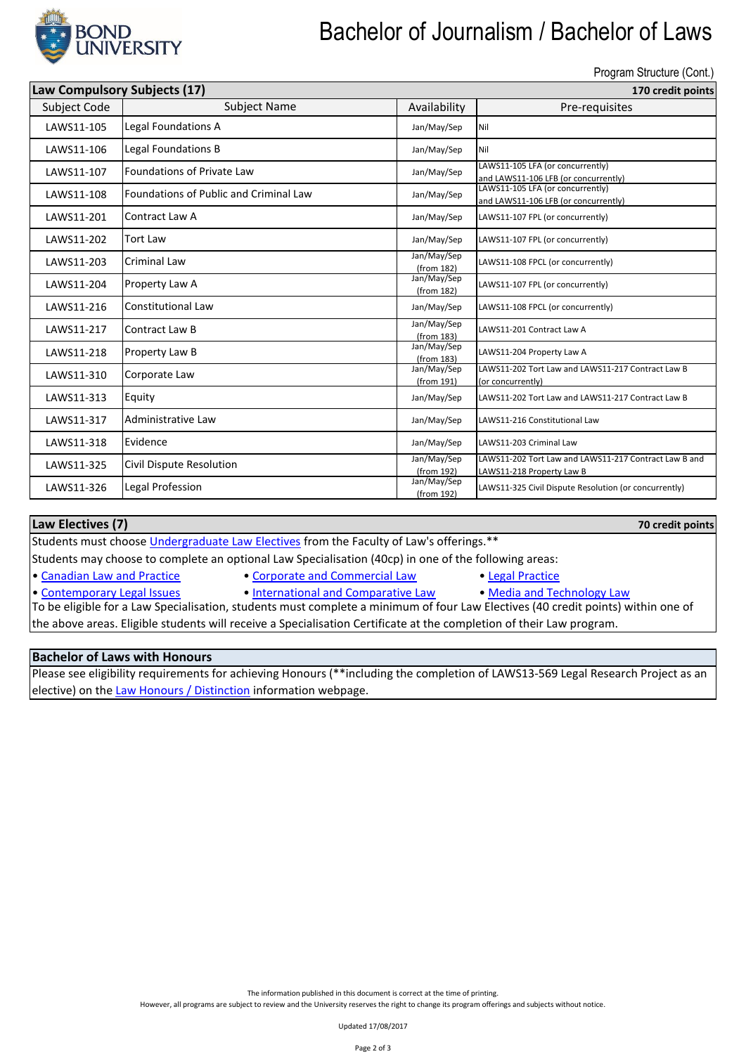

# Bachelor of Journalism / Bachelor of Laws

Program Structure (Cont.)

**70 credit points**

| Law Compulsory Subjects (17) |                                        |                           | 170 credit points                                                                  |  |  |
|------------------------------|----------------------------------------|---------------------------|------------------------------------------------------------------------------------|--|--|
| Subject Code                 | <b>Subject Name</b>                    | Availability              | Pre-requisites                                                                     |  |  |
| LAWS11-105                   | Legal Foundations A                    | Jan/May/Sep               | Nil                                                                                |  |  |
| LAWS11-106                   | Legal Foundations B                    | Jan/May/Sep               | Nil                                                                                |  |  |
| LAWS11-107                   | Foundations of Private Law             | Jan/May/Sep               | LAWS11-105 LFA (or concurrently)<br>and LAWS11-106 LFB (or concurrently)           |  |  |
| LAWS11-108                   | Foundations of Public and Criminal Law | Jan/May/Sep               | LAWS11-105 LFA (or concurrently)<br>and LAWS11-106 LFB (or concurrently)           |  |  |
| LAWS11-201                   | Contract Law A                         | Jan/May/Sep               | LAWS11-107 FPL (or concurrently)                                                   |  |  |
| LAWS11-202                   | <b>Tort Law</b>                        | Jan/May/Sep               | LAWS11-107 FPL (or concurrently)                                                   |  |  |
| LAWS11-203                   | Criminal Law                           | Jan/May/Sep<br>(from 182) | LAWS11-108 FPCL (or concurrently)                                                  |  |  |
| LAWS11-204                   | Property Law A                         | Jan/May/Sep<br>(from 182) | LAWS11-107 FPL (or concurrently)                                                   |  |  |
| LAWS11-216                   | Constitutional Law                     | Jan/May/Sep               | LAWS11-108 FPCL (or concurrently)                                                  |  |  |
| LAWS11-217                   | Contract Law B                         | Jan/May/Sep<br>(from 183) | LAWS11-201 Contract Law A                                                          |  |  |
| LAWS11-218                   | Property Law B                         | Jan/May/Sep<br>(from 183) | LAWS11-204 Property Law A                                                          |  |  |
| LAWS11-310                   | Corporate Law                          | Jan/May/Sep<br>(from 191) | LAWS11-202 Tort Law and LAWS11-217 Contract Law B<br>(or concurrently)             |  |  |
| LAWS11-313                   | Equity                                 | Jan/May/Sep               | LAWS11-202 Tort Law and LAWS11-217 Contract Law B                                  |  |  |
| LAWS11-317                   | Administrative Law                     | Jan/May/Sep               | LAWS11-216 Constitutional Law                                                      |  |  |
| LAWS11-318                   | Evidence                               | Jan/May/Sep               | LAWS11-203 Criminal Law                                                            |  |  |
| LAWS11-325                   | Civil Dispute Resolution               | Jan/May/Sep<br>(from 192) | LAWS11-202 Tort Law and LAWS11-217 Contract Law B and<br>LAWS11-218 Property Law B |  |  |
| LAWS11-326                   | Legal Profession                       | Jan/May/Sep<br>(from 192) | LAWS11-325 Civil Dispute Resolution (or concurrently)                              |  |  |

#### **Law Electives (7)**

Students must choose *Undergraduate Law Electives* from the Faculty of Law's offerings.\*\*

Students may choose to complete an optional Law Specialisation (40cp) in one of the following areas:

[•](http://bond.edu.au/subjects/current-law-specialisations-undergraduate) [Canadian Law and Practice](http://bond.edu.au/subjects/current-law-specialisations-undergraduate) • [Corporate and Commercial Law](http://bond.edu.au/subjects/current-law-specialisations-undergraduate) [•](http://bond.edu.au/subjects/current-law-specialisations-undergraduate) [Legal Practice](http://bond.edu.au/subjects/current-law-specialisations-undergraduate)

- 
- 

- [•](http://bond.edu.au/subjects/current-law-specialisations-undergraduate) [Contemporary Legal Issues](http://bond.edu.au/subjects/current-law-specialisations-undergraduate) [International and Comparative Law](http://bond.edu.au/subjects/current-law-specialisations-undergraduate) [Media and Technology Law](http://bond.edu.au/subjects/current-law-specialisations-undergraduate)
	-

To be eligible for a Law Specialisation, students must complete a minimum of four Law Electives (40 credit points) within one of the above areas. Eligible students will receive a Specialisation Certificate at the completion of their Law program.

#### **Bachelor of Laws with Honours**

[Please see eligibil](https://bond.edu.au/law-honours-distinction-information)ity requirements for achieving Honours (\*\*including the completion of LAWS13-569 Legal Research Project as an [elective\) on the Law Honours / Distinction](https://bond.edu.au/law-honours-distinction-information) information webpage.

The information published in this document is correct at the time of printing.

However, all programs are subject to review and the University reserves the right to change its program offerings and subjects without notice.